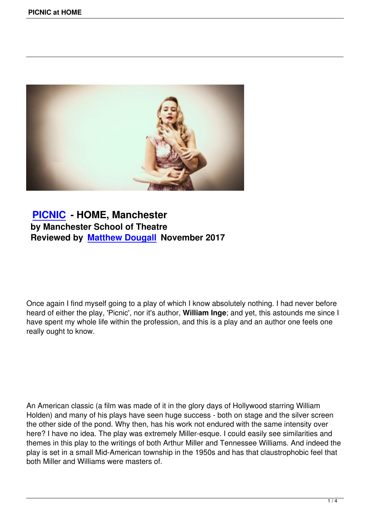

# **PICNIC - HOME, Manchester by Manchester School of Theatre [Reviewed](picnic-at-home.html) by Matthew Dougall November 2017**

Once again I find myself going to a play of which I know absolutely nothing. I had never before heard of either the play, 'Picnic', nor it's author, **William Inge**; and yet, this astounds me since I have spent my whole life within the profession, and this is a play and an author one feels one really ought to know.

An American classic (a film was made of it in the glory days of Hollywood starring William Holden) and many of his plays have seen huge success - both on stage and the silver screen the other side of the pond. Why then, has his work not endured with the same intensity over here? I have no idea. The play was extremely Miller-esque. I could easily see similarities and themes in this play to the writings of both Arthur Miller and Tennessee Williams. And indeed the play is set in a small Mid-American township in the 1950s and has that claustrophobic feel that both Miller and Williams were masters of.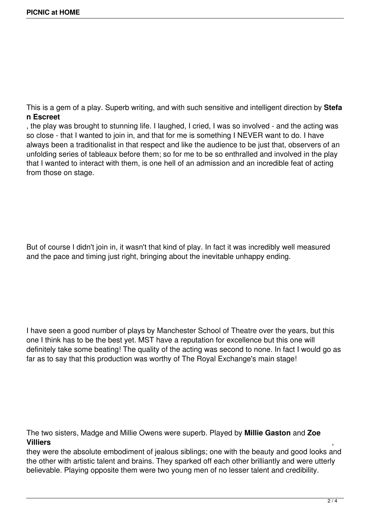This is a gem of a play. Superb writing, and with such sensitive and intelligent direction by **Stefa n Escreet**

, the play was brought to stunning life. I laughed, I cried, I was so involved - and the acting was so close - that I wanted to join in, and that for me is something I NEVER want to do. I have always been a traditionalist in that respect and like the audience to be just that, observers of an unfolding series of tableaux before them; so for me to be so enthralled and involved in the play that I wanted to interact with them, is one hell of an admission and an incredible feat of acting from those on stage.

But of course I didn't join in, it wasn't that kind of play. In fact it was incredibly well measured and the pace and timing just right, bringing about the inevitable unhappy ending.

I have seen a good number of plays by Manchester School of Theatre over the years, but this one I think has to be the best yet. MST have a reputation for excellence but this one will definitely take some beating! The quality of the acting was second to none. In fact I would go as far as to say that this production was worthy of The Royal Exchange's main stage!

The two sisters, Madge and Millie Owens were superb. Played by **Millie Gaston** and **Zoe Villiers** ,

they were the absolute embodiment of jealous siblings; one with the beauty and good looks and the other with artistic talent and brains. They sparked off each other brilliantly and were utterly believable. Playing opposite them were two young men of no lesser talent and credibility.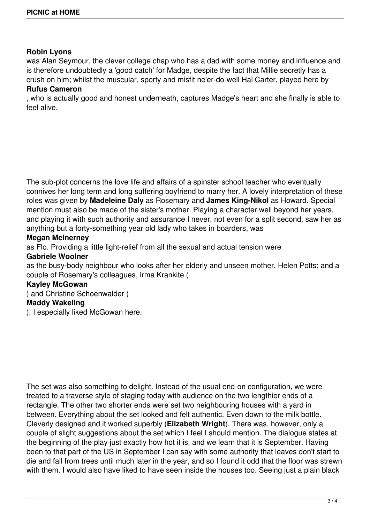## **Robin Lyons**

was Alan Seymour, the clever college chap who has a dad with some money and influence and is therefore undoubtedly a 'good catch' for Madge, despite the fact that Millie secretly has a crush on him; whilst the muscular, sporty and misfit ne'er-do-well Hal Carter, played here by **Rufus Cameron**

, who is actually good and honest underneath, captures Madge's heart and she finally is able to feel alive.

The sub-plot concerns the love life and affairs of a spinster school teacher who eventually connives her long term and long suffering boyfriend to marry her. A lovely interpretation of these roles was given by **Madeleine Daly** as Rosemary and **James King-Nikol** as Howard. Special mention must also be made of the sister's mother. Playing a character well beyond her years, and playing it with such authority and assurance I never, not even for a split second, saw her as anything but a forty-something year old lady who takes in boarders, was

## **Megan McInerney**

as Flo. Providing a little light-relief from all the sexual and actual tension were

## **Gabriele Woolner**

as the busy-body neighbour who looks after her elderly and unseen mother, Helen Potts; and a couple of Rosemary's colleagues, Irma Krankite (

## **Kayley McGowan**

) and Christine Schoenwalder (

## **Maddy Wakeling**

). I especially liked McGowan here.

The set was also something to delight. Instead of the usual end-on configuration, we were treated to a traverse style of staging today with audience on the two lengthier ends of a rectangle. The other two shorter ends were set two neighbouring houses with a yard in between. Everything about the set looked and felt authentic. Even down to the milk bottle. Cleverly designed and it worked superbly (**Elizabeth Wright**). There was, however, only a couple of slight suggestions about the set which I feel I should mention. The dialogue states at the beginning of the play just exactly how hot it is, and we learn that it is September. Having been to that part of the US in September I can say with some authority that leaves don't start to die and fall from trees until much later in the year, and so I found it odd that the floor was strewn with them. I would also have liked to have seen inside the houses too. Seeing just a plain black